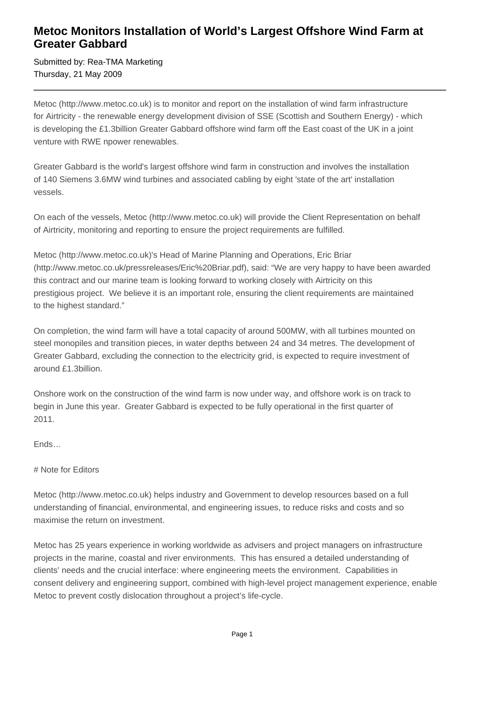## **Metoc Monitors Installation of World's Largest Offshore Wind Farm at Greater Gabbard**

Submitted by: Rea-TMA Marketing Thursday, 21 May 2009

Metoc (http://www.metoc.co.uk) is to monitor and report on the installation of wind farm infrastructure for Airtricity - the renewable energy development division of SSE (Scottish and Southern Energy) - which is developing the £1.3billion Greater Gabbard offshore wind farm off the East coast of the UK in a joint venture with RWE npower renewables.

Greater Gabbard is the world's largest offshore wind farm in construction and involves the installation of 140 Siemens 3.6MW wind turbines and associated cabling by eight 'state of the art' installation vessels.

On each of the vessels, Metoc (http://www.metoc.co.uk) will provide the Client Representation on behalf of Airtricity, monitoring and reporting to ensure the project requirements are fulfilled.

Metoc (http://www.metoc.co.uk)'s Head of Marine Planning and Operations, Eric Briar (http://www.metoc.co.uk/pressreleases/Eric%20Briar.pdf), said: "We are very happy to have been awarded this contract and our marine team is looking forward to working closely with Airtricity on this prestigious project. We believe it is an important role, ensuring the client requirements are maintained to the highest standard."

On completion, the wind farm will have a total capacity of around 500MW, with all turbines mounted on steel monopiles and transition pieces, in water depths between 24 and 34 metres. The development of Greater Gabbard, excluding the connection to the electricity grid, is expected to require investment of around £1.3billion.

Onshore work on the construction of the wind farm is now under way, and offshore work is on track to begin in June this year. Greater Gabbard is expected to be fully operational in the first quarter of 2011.

Ends…

# Note for Editors

Metoc (http://www.metoc.co.uk) helps industry and Government to develop resources based on a full understanding of financial, environmental, and engineering issues, to reduce risks and costs and so maximise the return on investment.

Metoc has 25 years experience in working worldwide as advisers and project managers on infrastructure projects in the marine, coastal and river environments. This has ensured a detailed understanding of clients' needs and the crucial interface: where engineering meets the environment. Capabilities in consent delivery and engineering support, combined with high-level project management experience, enable Metoc to prevent costly dislocation throughout a project's life-cycle.